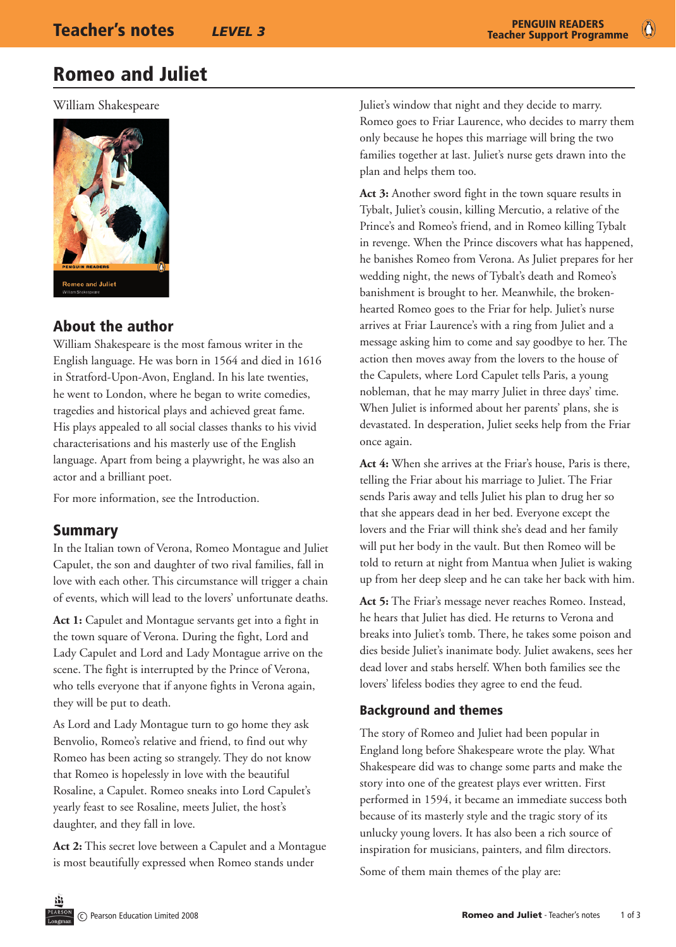# Romeo and Juliet

William Shakespeare



## About the author

William Shakespeare is the most famous writer in the English language. He was born in 1564 and died in 1616 in Stratford-Upon-Avon, England. In his late twenties, he went to London, where he began to write comedies, tragedies and historical plays and achieved great fame. His plays appealed to all social classes thanks to his vivid characterisations and his masterly use of the English language. Apart from being a playwright, he was also an actor and a brilliant poet.

For more information, see the Introduction.

## Summary

In the Italian town of Verona, Romeo Montague and Juliet Capulet, the son and daughter of two rival families, fall in love with each other. This circumstance will trigger a chain of events, which will lead to the lovers' unfortunate deaths.

**Act 1:** Capulet and Montague servants get into a fight in the town square of Verona. During the fight, Lord and Lady Capulet and Lord and Lady Montague arrive on the scene. The fight is interrupted by the Prince of Verona, who tells everyone that if anyone fights in Verona again, they will be put to death.

As Lord and Lady Montague turn to go home they ask Benvolio, Romeo's relative and friend, to find out why Romeo has been acting so strangely. They do not know that Romeo is hopelessly in love with the beautiful Rosaline, a Capulet. Romeo sneaks into Lord Capulet's yearly feast to see Rosaline, meets Juliet, the host's daughter, and they fall in love.

**Act 2:** This secret love between a Capulet and a Montague is most beautifully expressed when Romeo stands under

Juliet's window that night and they decide to marry. Romeo goes to Friar Laurence, who decides to marry them only because he hopes this marriage will bring the two families together at last. Juliet's nurse gets drawn into the plan and helps them too.

**Act 3:** Another sword fight in the town square results in Tybalt, Juliet's cousin, killing Mercutio, a relative of the Prince's and Romeo's friend, and in Romeo killing Tybalt in revenge. When the Prince discovers what has happened, he banishes Romeo from Verona. As Juliet prepares for her wedding night, the news of Tybalt's death and Romeo's banishment is brought to her. Meanwhile, the brokenhearted Romeo goes to the Friar for help. Juliet's nurse arrives at Friar Laurence's with a ring from Juliet and a message asking him to come and say goodbye to her. The action then moves away from the lovers to the house of the Capulets, where Lord Capulet tells Paris, a young nobleman, that he may marry Juliet in three days' time. When Juliet is informed about her parents' plans, she is devastated. In desperation, Juliet seeks help from the Friar once again.

**Act 4:** When she arrives at the Friar's house, Paris is there, telling the Friar about his marriage to Juliet. The Friar sends Paris away and tells Juliet his plan to drug her so that she appears dead in her bed. Everyone except the lovers and the Friar will think she's dead and her family will put her body in the vault. But then Romeo will be told to return at night from Mantua when Juliet is waking up from her deep sleep and he can take her back with him.

**Act 5:** The Friar's message never reaches Romeo. Instead, he hears that Juliet has died. He returns to Verona and breaks into Juliet's tomb. There, he takes some poison and dies beside Juliet's inanimate body. Juliet awakens, sees her dead lover and stabs herself. When both families see the lovers' lifeless bodies they agree to end the feud.

#### Background and themes

The story of Romeo and Juliet had been popular in England long before Shakespeare wrote the play. What Shakespeare did was to change some parts and make the story into one of the greatest plays ever written. First performed in 1594, it became an immediate success both because of its masterly style and the tragic story of its unlucky young lovers. It has also been a rich source of inspiration for musicians, painters, and film directors.

Some of them main themes of the play are: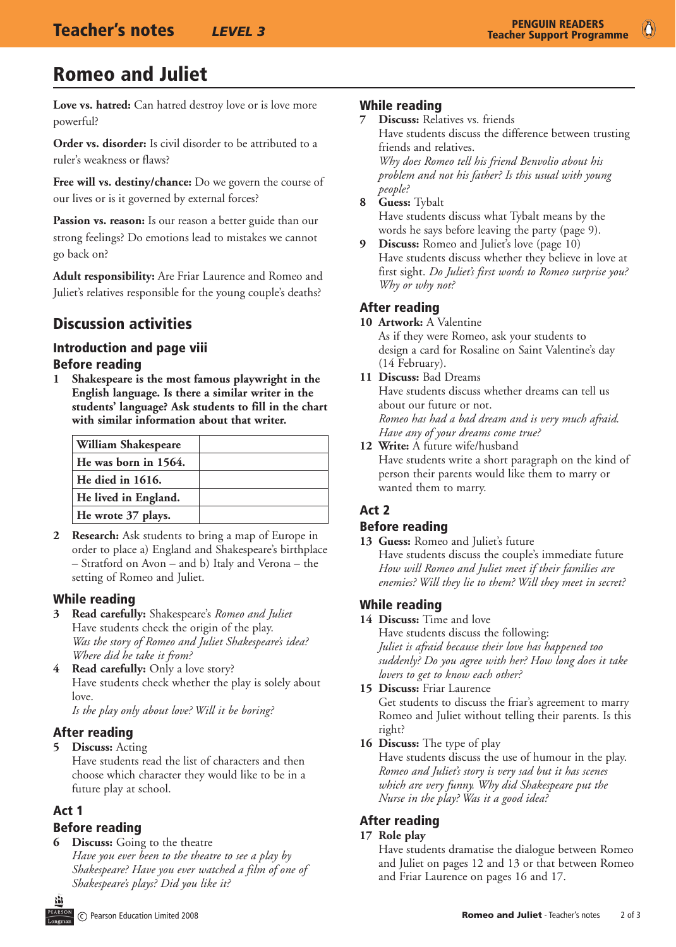# Romeo and Juliet

**Love vs. hatred:** Can hatred destroy love or is love more powerful?

**Order vs. disorder:** Is civil disorder to be attributed to a ruler's weakness or flaws?

**Free will vs. destiny/chance:** Do we govern the course of our lives or is it governed by external forces?

Passion vs. reason: Is our reason a better guide than our strong feelings? Do emotions lead to mistakes we cannot go back on?

**Adult responsibility:** Are Friar Laurence and Romeo and Juliet's relatives responsible for the young couple's deaths?

## Discussion activities

## Introduction and page viii

#### Before reading

**1 Shakespeare is the most famous playwright in the English language. Is there a similar writer in the students' language? Ask students to fill in the chart with similar information about that writer.**

| William Shakespeare  |  |
|----------------------|--|
| He was born in 1564. |  |
| He died in 1616.     |  |
| He lived in England. |  |
| He wrote 37 plays.   |  |

**2 Research:** Ask students to bring a map of Europe in order to place a) England and Shakespeare's birthplace – Stratford on Avon – and b) Italy and Verona – the setting of Romeo and Juliet.

#### While reading

- **3 Read carefully:** Shakespeare's *Romeo and Juliet* Have students check the origin of the play. *Was the story of Romeo and Juliet Shakespeare's idea? Where did he take it from?*
- **4 Read carefully:** Only a love story? Have students check whether the play is solely about love.

*Is the play only about love? Will it be boring?*

#### After reading

**5 Discuss:** Acting

Have students read the list of characters and then choose which character they would like to be in a future play at school.

#### Act 1

#### Before reading

**Discuss:** Going to the theatre *Have you ever been to the theatre to see a play by Shakespeare? Have you ever watched a film of one of Shakespeare's plays? Did you like it?*

#### While reading

**7 Discuss:** Relatives vs. friends Have students discuss the difference between trusting friends and relatives. *Why does Romeo tell his friend Benvolio about his* 

*problem and not his father? Is this usual with young people?*

**8 Guess:** Tybalt

Have students discuss what Tybalt means by the words he says before leaving the party (page 9).

**Discuss:** Romeo and Juliet's love (page 10) Have students discuss whether they believe in love at first sight. *Do Juliet's first words to Romeo surprise you? Why or why not?*

### After reading

**10 Artwork:** A Valentine As if they were Romeo, ask your students to design a card for Rosaline on Saint Valentine's day (14 February).

**11 Discuss:** Bad Dreams

Have students discuss whether dreams can tell us about our future or not. *Romeo has had a bad dream and is very much afraid. Have any of your dreams come true?* 

**12 Write:** A future wife/husband Have students write a short paragraph on the kind of person their parents would like them to marry or wanted them to marry.

## Act 2

#### Before reading

**13 Guess:** Romeo and Juliet's future Have students discuss the couple's immediate future *How will Romeo and Juliet meet if their families are* 

#### While reading

**14 Discuss:** Time and love

Have students discuss the following: *Juliet is afraid because their love has happened too suddenly? Do you agree with her? How long does it take lovers to get to know each other?*

*enemies? Will they lie to them? Will they meet in secret?*

- **15 Discuss:** Friar Laurence Get students to discuss the friar's agreement to marry Romeo and Juliet without telling their parents. Is this right?
- **16 Discuss:** The type of play

Have students discuss the use of humour in the play. *Romeo and Juliet's story is very sad but it has scenes which are very funny. Why did Shakespeare put the Nurse in the play? Was it a good idea?*

## After reading

#### **17 Role play**

Have students dramatise the dialogue between Romeo and Juliet on pages 12 and 13 or that between Romeo and Friar Laurence on pages 16 and 17.